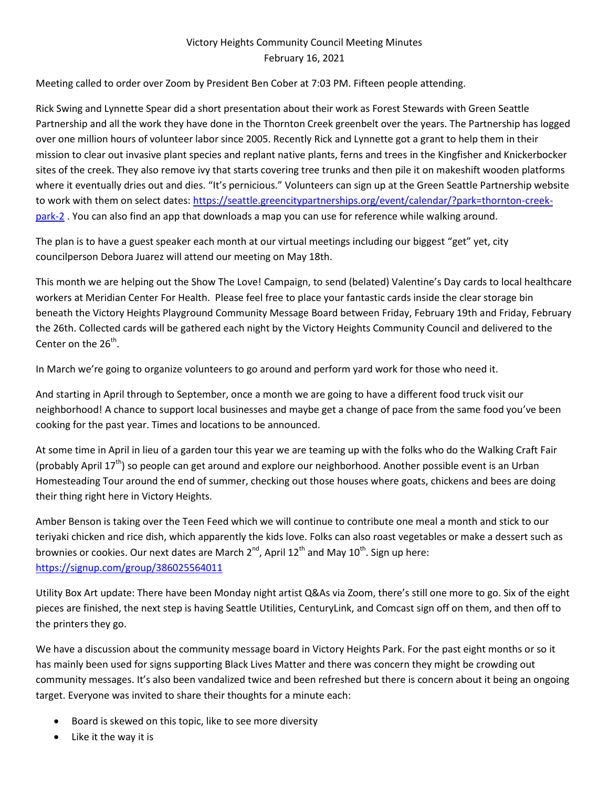## Victory Heights Community Council Meeting Minutes February 16, 2021

Meeting called to order over Zoom by President Ben Cober at 7:03 PM. Fifteen people attending.

Rick Swing and Lynnette Spear did a short presentation about their work as Forest Stewards with Green Seattle Partnership and all the work they have done in the Thornton Creek greenbelt over the years. The Partnership has logged over one million hours of volunteer labor since 2005. Recently Rick and Lynnette got a grant to help them in their mission to clear out invasive plant species and replant native plants, ferns and trees in the Kingfisher and Knickerbocker sites of the creek. They also remove ivy that starts covering tree trunks and then pile it on makeshift wooden platforms where it eventually dries out and dies. "It's pernicious." Volunteers can sign up at the Green Seattle Partnership website to work with them on select dates: [https://seattle.greencitypartnerships.org/event/calendar/?park=thornton-creek](https://seattle.greencitypartnerships.org/event/calendar/?park=thornton-creek-park-2)[park-2](https://seattle.greencitypartnerships.org/event/calendar/?park=thornton-creek-park-2) . You can also find an app that downloads a map you can use for reference while walking around.

The plan is to have a guest speaker each month at our virtual meetings including our biggest "get" yet, city councilperson Debora Juarez will attend our meeting on May 18th.

This month we are helping out the Show The Love! Campaign, to send (belated) Valentine's Day cards to local healthcare workers at Meridian Center For Health. Please feel free to place your fantastic cards inside the clear storage bin beneath the Victory Heights Playground Community Message Board between Friday, February 19th and Friday, February the 26th. Collected cards will be gathered each night by the Victory Heights Community Council and delivered to the Center on the 26<sup>th</sup>.

In March we're going to organize volunteers to go around and perform yard work for those who need it.

And starting in April through to September, once a month we are going to have a different food truck visit our neighborhood! A chance to support local businesses and maybe get a change of pace from the same food you've been cooking for the past year. Times and locations to be announced.

At some time in April in lieu of a garden tour this year we are teaming up with the folks who do the Walking Craft Fair (probably April  $17^{th}$ ) so people can get around and explore our neighborhood. Another possible event is an Urban Homesteading Tour around the end of summer, checking out those houses where goats, chickens and bees are doing their thing right here in Victory Heights.

Amber Benson is taking over the Teen Feed which we will continue to contribute one meal a month and stick to our teriyaki chicken and rice dish, which apparently the kids love. Folks can also roast vegetables or make a dessert such as brownies or cookies. Our next dates are March  $2^{nd}$ , April  $12^{th}$  and May  $10^{th}$ . Sign up here: <https://signup.com/group/386025564011>

Utility Box Art update: There have been Monday night artist Q&As via Zoom, there's still one more to go. Six of the eight pieces are finished, the next step is having Seattle Utilities, CenturyLink, and Comcast sign off on them, and then off to the printers they go.

We have a discussion about the community message board in Victory Heights Park. For the past eight months or so it has mainly been used for signs supporting Black Lives Matter and there was concern they might be crowding out community messages. It's also been vandalized twice and been refreshed but there is concern about it being an ongoing target. Everyone was invited to share their thoughts for a minute each:

- Board is skewed on this topic, like to see more diversity
- Like it the way it is